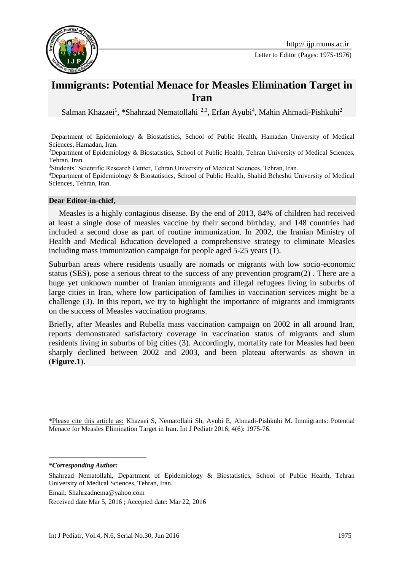

## **Immigrants: Potential Menace for Measles Elimination Target in Iran**

Salman Khazaei<sup>1</sup>, \*Shahrzad Nematollahi<sup>2,3</sup>, Erfan Ayubi<sup>4</sup>, Mahin Ahmadi-Pishkuhi<sup>2</sup>

<sup>1</sup>Department of Epidemiology & Biostatistics, School of Public Health, Hamadan University of Medical Sciences, Hamadan, Iran.

<sup>2</sup>Department of Epidemiology & Biostatistics, School of Public Health, Tehran University of Medical Sciences, Tehran, Iran.

<sup>3</sup>Students' Scientific Research Center, Tehran University of Medical Sciences, Tehran, Iran.

<sup>4</sup>Department of Epidemiology & Biostatistics, School of Public Health, Shahid Beheshti University of Medical Sciences, Tehran, Iran.

## **Dear Editor-in-chief,**

 Measles is a highly contagious disease. By the end of 2013, 84% of children had received at least a single dose of measles vaccine by their second birthday, and 148 countries had included a second dose as part of routine immunization. In 2002, the Iranian Ministry of Health and Medical Education developed a comprehensive strategy to eliminate Measles including mass immunization campaign for people aged 5-25 years (1).

Suburban areas where residents usually are nomads or migrants with low socio-economic status (SES), pose a serious threat to the success of any prevention program(2) . There are a huge yet unknown number of Iranian immigrants and illegal refugees living in suburbs of large cities in Iran, where low participation of families in vaccination services might be a challenge (3). In this report, we try to highlight the importance of migrants and immigrants on the success of Measles vaccination programs.

Briefly, after Measles and Rubella mass vaccination campaign on 2002 in all around Iran, reports demonstrated satisfactory coverage in vaccination status of migrants and slum residents living in suburbs of big cities (3). Accordingly, mortality rate for Measles had been sharply declined between 2002 and 2003, and been plateau afterwards as shown in (**Figure.1**).

\*Please cite this article as: Khazaei S, Nematollahi Sh, Ayubi E, Ahmadi-Pishkuhi M. Immigrants: Potential Menace for Measles Elimination Target in Iran. Int J Pediatr 2016; 4(6): 1975-76.

*\*Corresponding Author:*

1

Shahrzad Nematollahi, Department of Epidemiology & Biostatistics, School of Public Health, Tehran University of Medical Sciences, Tehran, Iran.

Email: [Shahrzadnema@yahoo.com](mailto:Shahrzadnema@yahoo.com)

Received date Mar 5, 2016 ; Accepted date: Mar 22, 2016